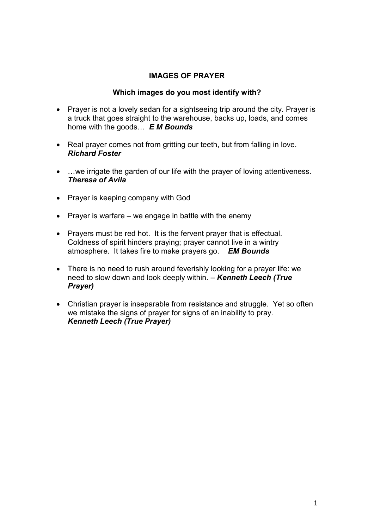# **IMAGES OF PRAYER**

### **Which images do you most identify with?**

- Prayer is not a lovely sedan for a sightseeing trip around the city. Prayer is a truck that goes straight to the warehouse, backs up, loads, and comes home with the goods… *E M Bounds*
- Real prayer comes not from gritting our teeth, but from falling in love. *Richard Foster*
- …we irrigate the garden of our life with the prayer of loving attentiveness. *Theresa of Avila*
- Prayer is keeping company with God
- Prayer is warfare we engage in battle with the enemy
- Prayers must be red hot. It is the fervent prayer that is effectual. Coldness of spirit hinders praying; prayer cannot live in a wintry atmosphere. It takes fire to make prayers go. *EM Bounds*
- There is no need to rush around feverishly looking for a prayer life: we need to slow down and look deeply within. – *Kenneth Leech (True Prayer)*
- Christian prayer is inseparable from resistance and struggle. Yet so often we mistake the signs of prayer for signs of an inability to pray. *Kenneth Leech (True Prayer)*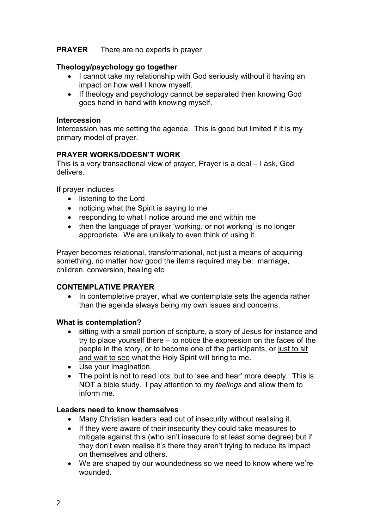## **PRAYER** There are no experts in prayer

## **Theology/psychology go together**

- I cannot take my relationship with God seriously without it having an impact on how well I know myself.
- If theology and psychology cannot be separated then knowing God goes hand in hand with knowing myself.

### **Intercession**

Intercession has me setting the agenda. This is good but limited if it is my primary model of prayer.

## **PRAYER WORKS/DOESN'T WORK**

This is a very transactional view of prayer, Prayer is a deal – I ask, God delivers.

If prayer includes

- listening to the Lord
- noticing what the Spirit is saying to me
- responding to what I notice around me and within me
- then the language of prayer 'working, or not working' is no longer appropriate. We are unlikely to even think of using it.

Prayer becomes relational, transformational, not just a means of acquiring something, no matter how good the items required may be: marriage, children, conversion, healing etc

## **CONTEMPLATIVE PRAYER**

• In contempletive prayer, what we contemplate sets the agenda rather than the agenda always being my own issues and concerns.

## **What is contemplation?**

- sitting with a small portion of scripture, a story of Jesus for instance and try to place yourself there – to notice the expression on the faces of the people in the story, or to become one of the participants, or just to sit and wait to see what the Holy Spirit will bring to me.
- Use your imagination.
- The point is not to read lots, but to 'see and hear' more deeply. This is NOT a bible study. I pay attention to my *feelings* and allow them to inform me.

#### **Leaders need to know themselves**

- Many Christian leaders lead out of insecurity without realising it.
- If they were aware of their insecurity they could take measures to mitigate against this (who isn't insecure to at least some degree) but if they don't even realise it's there they aren't trying to reduce its impact on themselves and others.
- We are shaped by our woundedness so we need to know where we're wounded.